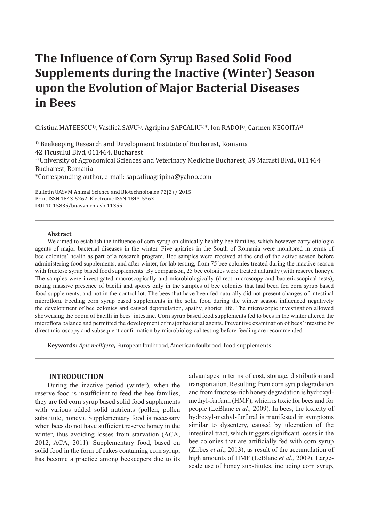# **The Influence of Corn Syrup Based Solid Food Supplements during the Inactive (Winter) Season upon the Evolution of Major Bacterial Diseases in Bees**

Cristina MATEESCU<sup>1)</sup>, Vasilică SAVU<sup>1)</sup>, Agripina ȘAPCALIU<sup>1)\*</sup>, Ion RADOI<sup>2</sup>), Carmen NEGOITA<sup>2)</sup>

<sup>1)</sup> Beekeeping Research and Development Institute of Bucharest, Romania 42 Ficusului Blvd, 011464, Bucharest <sup>2)</sup> University of Agronomical Sciences and Veterinary Medicine Bucharest, 59 Marasti Blvd., 011464 Bucharest, Romania \*Corresponding author, e-mail: sapcaliuagripina@yahoo.com

Bulletin UASVM Animal Science and Biotechnologies 72(2) / 2015 Print ISSN 1843-5262; Electronic ISSN 1843-536X DOI:10.15835/buasvmcn-asb:11355

#### **Abstract**

We aimed to establish the influence of corn syrup on clinically healthy bee families, which however carry etiologic agents of major bacterial diseases in the winter. Five apiaries in the South of Romania were monitored in terms of bee colonies' health as part of a research program. Bee samples were received at the end of the active season before administering food supplements, and after winter, for lab testing, from 75 bee colonies treated during the inactive season with fructose syrup based food supplements. By comparison, 25 bee colonies were treated naturally (with reserve honey). The samples were investigated macroscopically and microbiologically (direct microscopy and bacterioscopical tests), noting massive presence of bacilli and spores only in the samples of bee colonies that had been fed corn syrup based food supplements, and not in the control lot. The bees that have been fed naturally did not present changes of intestinal microflora. Feeding corn syrup based supplements in the solid food during the winter season influenced negatively the development of bee colonies and caused depopulation, apathy, shorter life. The microscopic investigation allowed showcasing the boom of bacilli in bees' intestine. Corn syrup based food supplements fed to bees in the winter altered the microflora balance and permitted the development of major bacterial agents. Preventive examination of bees' intestine by direct microscopy and subsequent confirmation by microbiological testing before feeding are recommended.

**Keywords:** *Apis mellifera***,** European foulbrood, American foulbrood, food supplements

#### **INTRODUCTION**

During the inactive period (winter), when the reserve food is insufficient to feed the bee families, they are fed corn syrup based solid food supplements with various added solid nutrients (pollen, pollen substitute, honey). Supplementary food is necessary when bees do not have sufficient reserve honey in the winter, thus avoiding losses from starvation (ACA, 2012; ACA, 2011). Supplementary food, based on solid food in the form of cakes containing corn syrup, has become a practice among beekeepers due to its advantages in terms of cost, storage, distribution and transportation. Resulting from corn syrup degradation and from fructose-rich honey degradation is hydroxylmethyl-furfural (HMF), which is toxic for bees and for people (LeBlanc *et al.,* 2009). In bees, the toxicity of hydroxyl-methyl-furfural is manifested in symptoms similar to dysentery, caused by ulceration of the intestinal tract, which triggers significant losses in the bee colonies that are artificially fed with corn syrup (Zirbes *et al*., 2013), as result of the accumulation of high amounts of HMF (LeBlanc *et al.,* 2009). Largescale use of honey substitutes, including corn syrup,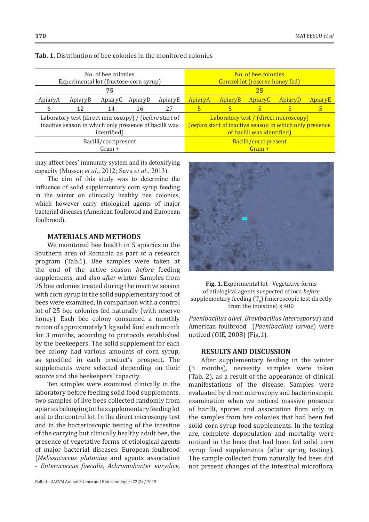| No. of bee colonies                                    | No. of bee colonies                                     |  |  |  |
|--------------------------------------------------------|---------------------------------------------------------|--|--|--|
| Experimental lot (fructose-corn syrup)                 | Control lot (reserve honey fed)                         |  |  |  |
| 75                                                     | 25                                                      |  |  |  |
| ApiaryA                                                | ApiaryE                                                 |  |  |  |
| ApiaryB                                                | ApiaryA                                                 |  |  |  |
| ApiaryE                                                | <b>ApiaryC</b>                                          |  |  |  |
| ApiaryC                                                | <b>ApiaryB</b>                                          |  |  |  |
| ApiaryD                                                | ApiaryD                                                 |  |  |  |
| 27<br>12<br>14<br>16<br>6                              | 5<br>5                                                  |  |  |  |
| Laboratory test (direct microscopy) / (before start of | Laboratory test / (direct microscopy)                   |  |  |  |
| inactive season in which only presence of bacilli was  | (before start of inactive season in which only presence |  |  |  |
| identified)                                            | of bacilli was identified)                              |  |  |  |
| Bacilli/coccipresent                                   | Bacilli/cocci present                                   |  |  |  |
| $Gram +$                                               | $Gram +$                                                |  |  |  |

**Tab. 1.** Distribution of bee colonies in the monitored colonies

may affect bees' immunity system and its detoxifying capacity (Mussen *et al*., 2012; Savu *et al*., 2013).

The aim of this study was to determine the influence of solid supplementary corn syrup feeding in the winter on clinically healthy bee colonies, which however carry etiological agents of major bacterial diseases (American foulbrood and European foulbrood).

## **MATERIALS AND METHODS**

We monitored bee health in 5 apiaries in the Southern area of Romania as part of a research program (Tab.1). Bee samples were taken at the end of the active season *before* feeding supplements, and also *after* winter. Samples from 75 bee colonies treated during the inactive season with corn syrup in the solid supplementary food of bees were examined, in comparison with a control lot of 25 bee colonies fed naturally (with reserve honey). Each bee colony consumed a monthly ration of approximately 1 kg solid food each month for 3 months, according to protocols established by the beekeepers. The solid supplement for each bee colony had various amounts of corn syrup, as specified in each product's prospect. The supplements were selected depending on their source and the beekeepers' capacity.

Ten samples were examined clinically in the laboratory before feeding solid food supplements, two samples of live bees collected randomly from apiaries belonging to the supplementary feeding lot and to the control lot. In the direct microscopy test and in the bacterioscopic testing of the intestine of the carrying but clinically healthy adult bee, the presence of vegetative forms of etiological agents of major bacterial diseases: European foulbrood (*Melissococcus plutonius* and agents association - *Enterococcus faecalis*, *Achromobacter eurydice*,



**Fig. 1.**.Experimental lot - Vegetative forms of etiological agents suspected of loca *before* supplementary feeding  $(T_0)$  (microscopic test directly from the intestine) x 400

*Paenibacillus alvei*, *Brevibacillus laterosporus*) and American foulbrood (*Paenibacillus larvae*) were noticed (OIE, 2008) (Fig.1).

## **RESULTS AND DISCUSSION**

After supplementary feeding in the winter (3 months), necessity samples were taken (Tab. 2), as a result of the appearance of clinical manifestations of the disease. Samples were evaluated by direct microscopy and bacterioscopic examination when we noticed massive presence of bacilli, spores and association flora only in the samples from bee colonies that had been fed solid corn syrup food supplements. In the testing are, complete depopulation and mortality were noticed in the bees that had been fed solid corn syrup food supplements (after spring testing). The sample collected from naturally fed bees did not present changes of the intestinal microflora,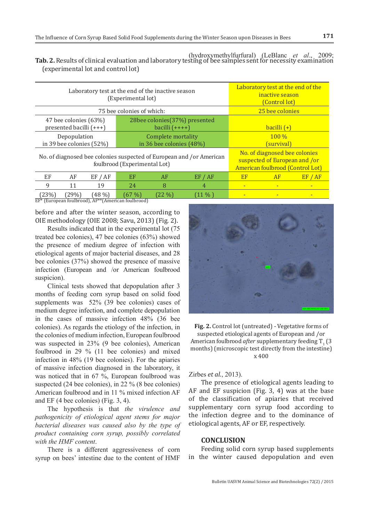| Tab. 2. Results of clinical evaluation and laboratory testing of bee samples sent for necessity examination |  |
|-------------------------------------------------------------------------------------------------------------|--|
| (experimental lot and control lot)                                                                          |  |

| Laboratory test at the end of the inactive season<br>(Experimental lot)                              |       |                                                    | Laboratory test at the end of the<br>inactive season<br>(Control lot)                              |                          |               |                          |  |  |
|------------------------------------------------------------------------------------------------------|-------|----------------------------------------------------|----------------------------------------------------------------------------------------------------|--------------------------|---------------|--------------------------|--|--|
| 75 bee colonies of which:                                                                            |       |                                                    | 25 bee colonies                                                                                    |                          |               |                          |  |  |
| 47 bee colonies (63%)<br>presented bacilli (+++)                                                     |       | 28bee colonies (37%) presented<br>bacilli $(++++)$ |                                                                                                    |                          | bacilli $(+)$ |                          |  |  |
| Depopulation<br>in 39 bee colonies (52%)                                                             |       | Complete mortality<br>in 36 bee colonies (48%)     |                                                                                                    | $100\%$<br>(survival)    |               |                          |  |  |
| No. of diagnosed bee colonies suspected of European and /or American<br>foulbrood (Experimental Lot) |       |                                                    | No. of diagnosed bee colonies<br>suspected of European and /or<br>American foulbrood (Control Lot) |                          |               |                          |  |  |
| EF<br>AF<br>EF / AF                                                                                  | EF    | AF                                                 | EF / AF                                                                                            | EF                       | AF            | EF / AF                  |  |  |
| 9<br>11<br>19                                                                                        | 24    | 8                                                  | 4                                                                                                  | ٠                        |               | $\overline{\phantom{a}}$ |  |  |
| (29%)<br>(48%)<br>(23%)                                                                              | (67%) | (22 %)                                             | (11 % )                                                                                            | $\overline{\phantom{a}}$ |               | ٠                        |  |  |

EF\* (European foulbrood), AF\*\*(American foulbrood)

before and after the winter season, according to OIE methodology (OIE 2008; Savu, 2013) (Fig. 2).

Results indicated that in the experimental lot (75 treated bee colonies), 47 bee colonies (63%) showed the presence of medium degree of infection with etiological agents of major bacterial diseases, and 28 bee colonies (37%) showed the presence of massive infection (European and /or American foulbrood suspicion).

Clinical tests showed that depopulation after 3 months of feeding corn syrup based on solid food supplements was 52% (39 bee colonies) cases of medium degree infection, and complete depopulation in the cases of massive infection 48% (36 bee colonies). As regards the etiology of the infection, in the colonies of medium infection, European foulbrood was suspected in 23% (9 bee colonies), American foulbrood in 29 % (11 bee colonies) and mixed infection in 48% (19 bee colonies). For the apiaries of massive infection diagnosed in the laboratory, it was noticed that in 67 %, European foulbrood was suspected (24 bee colonies), in 22 % (8 bee colonies) American foulbrood and in 11 % mixed infection AF and EF (4 bee colonies) (Fig. 3, 4).

The hypothesis is that *the virulence and pathogenicity of etiological agent stems for major bacterial diseases was caused also by the type of product containing corn syrup, possibly correlated with the HMF content*.

There is a different aggressiveness of corn syrup on bees' intestine due to the content of HMF



(hydroxymethylfurfural) (LeBlanc *et al*., 2009;

**Fig. 2.** Control lot (untreated) - Vegetative forms of suspected etiological agents of European and /or American foulbrood *after* supplementary feeding  $T_1$  (3) months) (microscopic test directly from the intestine) x 400

Zirbes *et al*., 2013).

The presence of etiological agents leading to AF and EF suspicion (Fig. 3, 4) was at the base of the classification of apiaries that received supplementary corn syrup food according to the infection degree and to the dominance of etiological agents, AF or EF, respectively.

# **CONCLUSION**

Feeding solid corn syrup based supplements in the winter caused depopulation and even